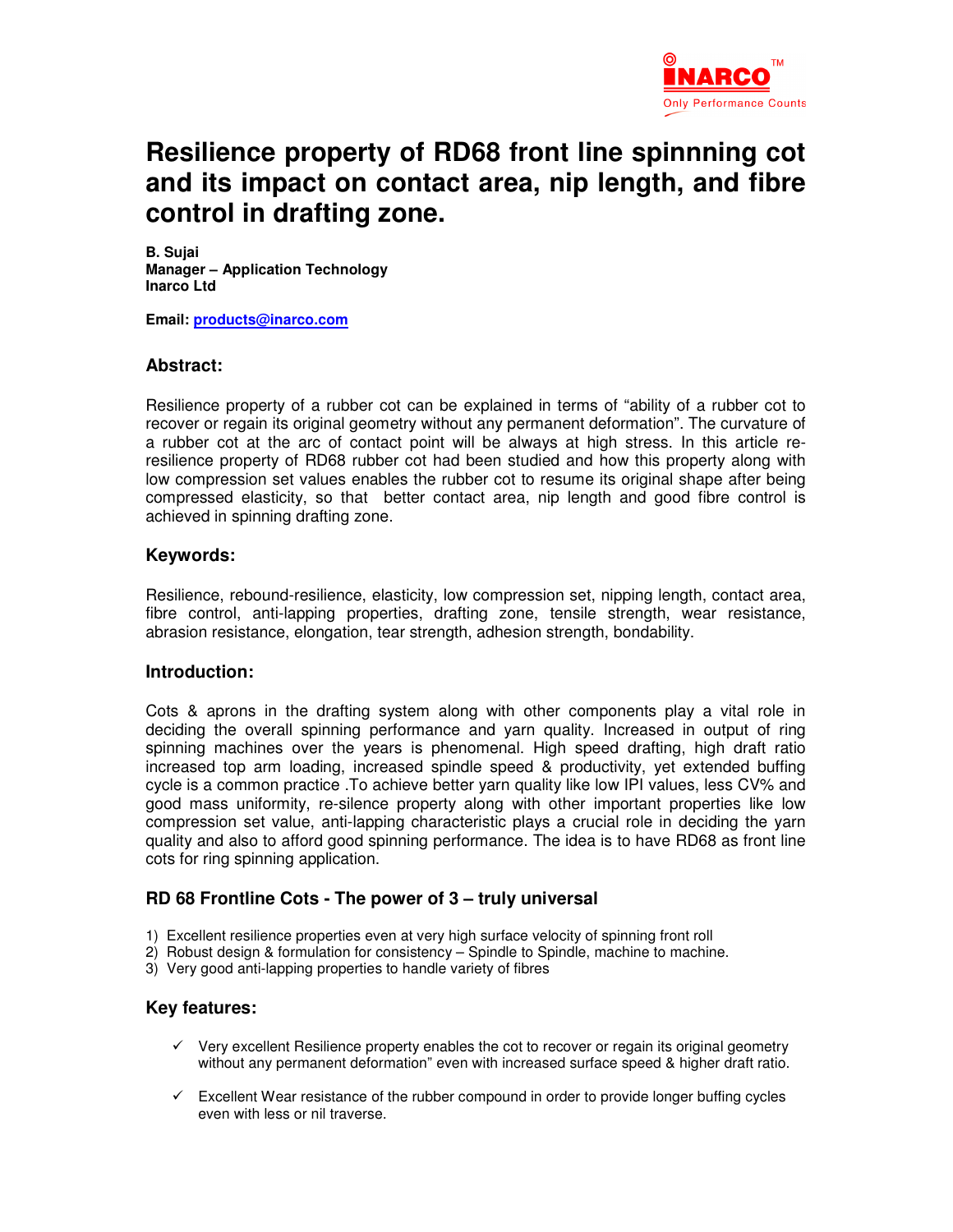

# **Resilience property of RD68 front line spinnning cot and its impact on contact area, nip length, and fibre control in drafting zone.**

**B. Sujai Manager – Application Technology Inarco Ltd** 

**Email: products@inarco.com**

# **Abstract:**

Resilience property of a rubber cot can be explained in terms of "ability of a rubber cot to recover or regain its original geometry without any permanent deformation". The curvature of a rubber cot at the arc of contact point will be always at high stress. In this article reresilience property of RD68 rubber cot had been studied and how this property along with low compression set values enables the rubber cot to resume its original shape after being compressed elasticity, so that better contact area, nip length and good fibre control is achieved in spinning drafting zone.

# **Keywords:**

Resilience, rebound-resilience, elasticity, low compression set, nipping length, contact area, fibre control, anti-lapping properties, drafting zone, tensile strength, wear resistance, abrasion resistance, elongation, tear strength, adhesion strength, bondability.

# **Introduction:**

Cots & aprons in the drafting system along with other components play a vital role in deciding the overall spinning performance and yarn quality. Increased in output of ring spinning machines over the years is phenomenal. High speed drafting, high draft ratio increased top arm loading, increased spindle speed & productivity, yet extended buffing cycle is a common practice .To achieve better yarn quality like low IPI values, less CV% and good mass uniformity, re-silence property along with other important properties like low compression set value, anti-lapping characteristic plays a crucial role in deciding the yarn quality and also to afford good spinning performance. The idea is to have RD68 as front line cots for ring spinning application.

# **RD 68 Frontline Cots - The power of 3 – truly universal**

- 1) Excellent resilience properties even at very high surface velocity of spinning front roll
- 2) Robust design & formulation for consistency Spindle to Spindle, machine to machine.
- 3) Very good anti-lapping properties to handle variety of fibres

#### **Key features:**

- $\checkmark$  Very excellent Resilience property enables the cot to recover or regain its original geometry without any permanent deformation" even with increased surface speed & higher draft ratio.
- $\checkmark$  Excellent Wear resistance of the rubber compound in order to provide longer buffing cycles even with less or nil traverse.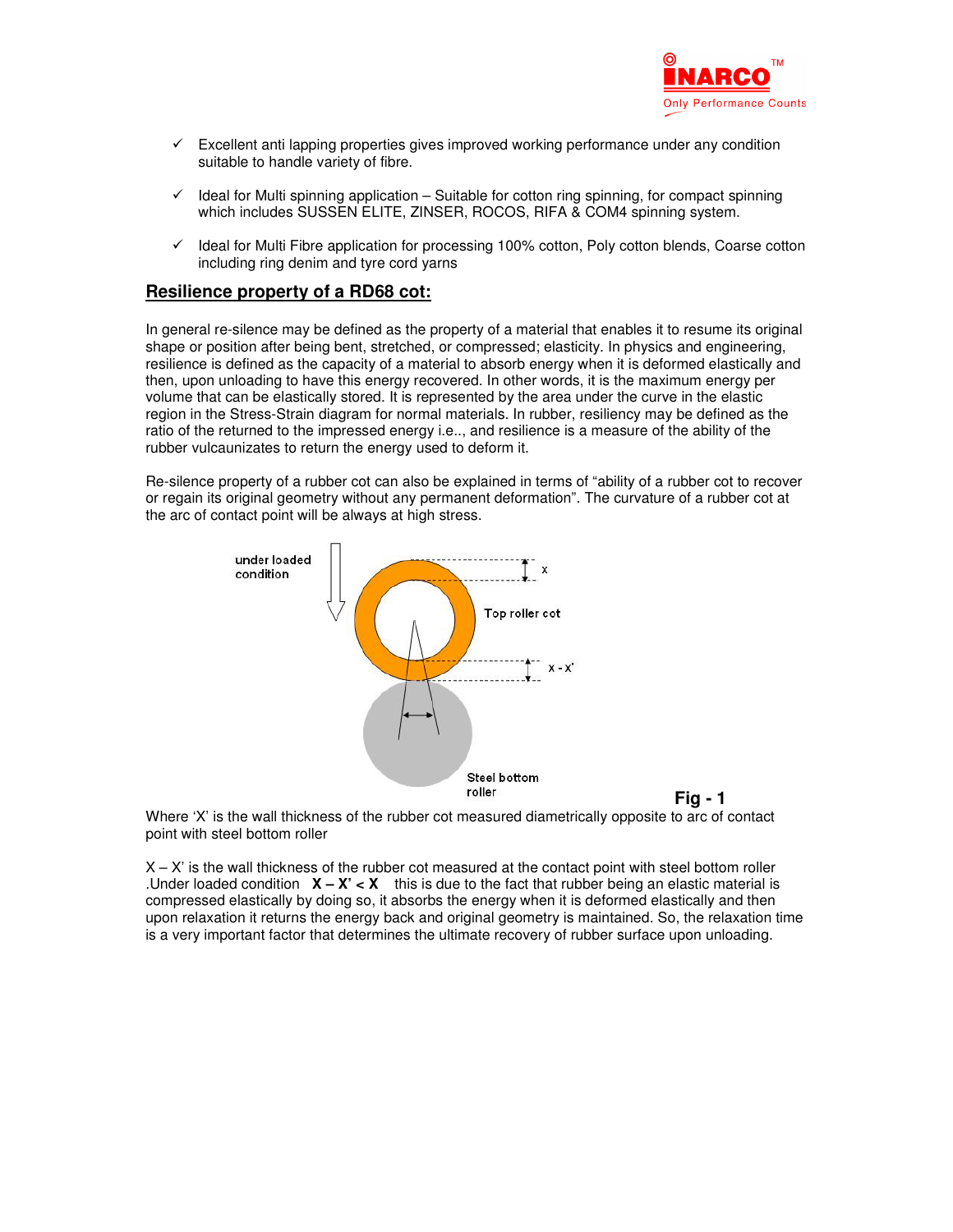

- $\checkmark$  Excellent anti lapping properties gives improved working performance under any condition suitable to handle variety of fibre.
- $\checkmark$  Ideal for Multi spinning application Suitable for cotton ring spinning, for compact spinning which includes SUSSEN ELITE, ZINSER, ROCOS, RIFA & COM4 spinning system.
- $\checkmark$  Ideal for Multi Fibre application for processing 100% cotton, Poly cotton blends, Coarse cotton including ring denim and tyre cord yarns

#### **Resilience property of a RD68 cot:**

In general re-silence may be defined as the property of a material that enables it to resume its original shape or position after being bent, stretched, or compressed; elasticity. In physics and engineering, resilience is defined as the capacity of a material to absorb energy when it is deformed elastically and then, upon unloading to have this energy recovered. In other words, it is the maximum energy per volume that can be elastically stored. It is represented by the area under the curve in the elastic region in the Stress-Strain diagram for normal materials. In rubber, resiliency may be defined as the ratio of the returned to the impressed energy i.e.., and resilience is a measure of the ability of the rubber vulcaunizates to return the energy used to deform it.

Re-silence property of a rubber cot can also be explained in terms of "ability of a rubber cot to recover or regain its original geometry without any permanent deformation". The curvature of a rubber cot at the arc of contact point will be always at high stress.



**Fig - 1**

Where 'X' is the wall thickness of the rubber cot measured diametrically opposite to arc of contact point with steel bottom roller

 $X - X'$  is the wall thickness of the rubber cot measured at the contact point with steel bottom roller .Under loaded condition  $X - X' < X$  this is due to the fact that rubber being an elastic material is compressed elastically by doing so, it absorbs the energy when it is deformed elastically and then upon relaxation it returns the energy back and original geometry is maintained. So, the relaxation time is a very important factor that determines the ultimate recovery of rubber surface upon unloading.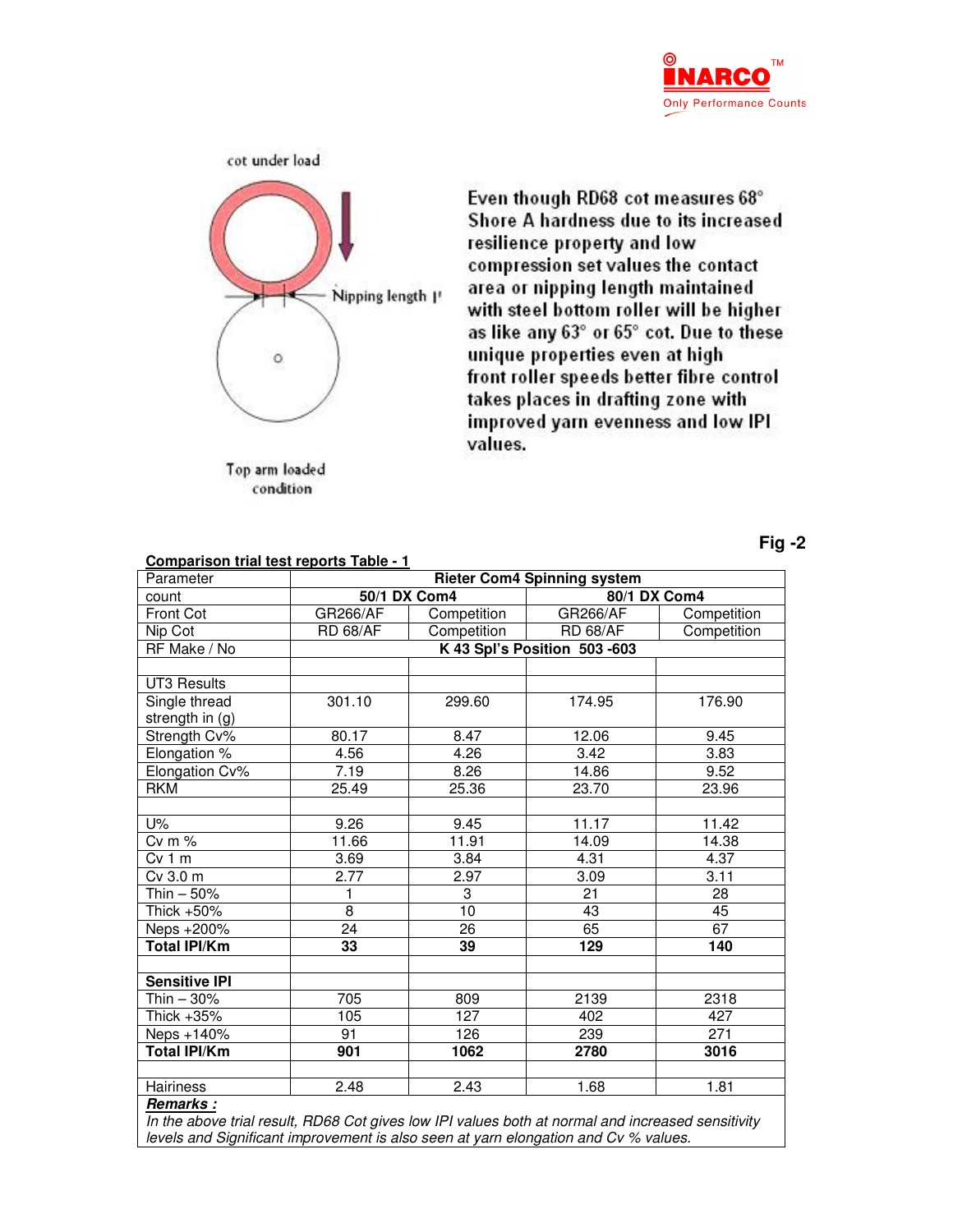



area or nipping length maintained with steel bottom roller will be higher as like any 63° or 65° cot. Due to these unique properties even at high front roller speeds better fibre control takes places in drafting zone with improved yarn evenness and low IPI values.

Even though RD68 cot measures 68° Shore A hardness due to its increased

compression set values the contact

resilience property and low

condition

**Comparison trial test reports Table - 1**

**Fig -2**

| Parameter                                        | <b>Rieter Com4 Spinning system</b> |                 |                 |             |
|--------------------------------------------------|------------------------------------|-----------------|-----------------|-------------|
| count                                            | 50/1 DX Com4                       |                 | 80/1 DX Com4    |             |
| Front Cot                                        | <b>GR266/AF</b>                    | Competition     | <b>GR266/AF</b> | Competition |
| Nip Cot                                          | <b>RD 68/AF</b>                    | Competition     | <b>RD 68/AF</b> | Competition |
| RF Make / No                                     | K 43 Spl's Position 503-603        |                 |                 |             |
|                                                  |                                    |                 |                 |             |
| <b>UT3 Results</b>                               |                                    |                 |                 |             |
| Single thread                                    | 301.10                             | 299.60          | 174.95          | 176.90      |
| strength in (g)                                  |                                    |                 |                 |             |
| Strength Cv%                                     | 80.17                              | 8.47            | 12.06           | 9.45        |
| Elongation %                                     | 4.56                               | 4.26            | 3.42            | 3.83        |
| Elongation Cv%                                   | 7.19                               | 8.26            | 14.86           | 9.52        |
| <b>RKM</b>                                       | 25.49                              | 25.36           | 23.70           | 23.96       |
|                                                  |                                    |                 |                 |             |
| U%                                               | 9.26                               | 9.45            | 11.17           | 11.42       |
| $Cv$ m $%$                                       | 11.66                              | 11.91           | 14.09           | 14.38       |
| Cv 1 m                                           | 3.69                               | 3.84            | 4.31            | 4.37        |
| Cv 3.0 m                                         | 2.77                               | 2.97            | 3.09            | 3.11        |
| Thin - 50%                                       | 1                                  | 3               | 21              | 28          |
| Thick +50%                                       | 8                                  | $\overline{10}$ | 43              | 45          |
| Neps +200%                                       | $\overline{24}$                    | $\overline{26}$ | 65              | 67          |
| <b>Total IPI/Km</b>                              | 33                                 | 39              | 129             | 140         |
|                                                  |                                    |                 |                 |             |
| <b>Sensitive IPI</b>                             |                                    |                 |                 |             |
| Thin $-30%$                                      | 705                                | 809             | 2139            | 2318        |
| Thick +35%                                       | 105                                | 127             | 402             | 427         |
| Neps +140%                                       | 91                                 | 126             | 239             | 271         |
| <b>Total IPI/Km</b>                              | 901                                | 1062            | 2780            | 3016        |
|                                                  |                                    |                 |                 |             |
| Hairiness                                        | 2.48                               | 2.43            | 1.68            | 1.81        |
| Remarks:<br>$\mathbf{r}$<br>$\cdots$<br>$\cdots$ |                                    |                 |                 |             |

In the above trial result, RD68 Cot gives low IPI values both at normal and increased sensitivity levels and Significant improvement is also seen at yarn elongation and Cv % values.